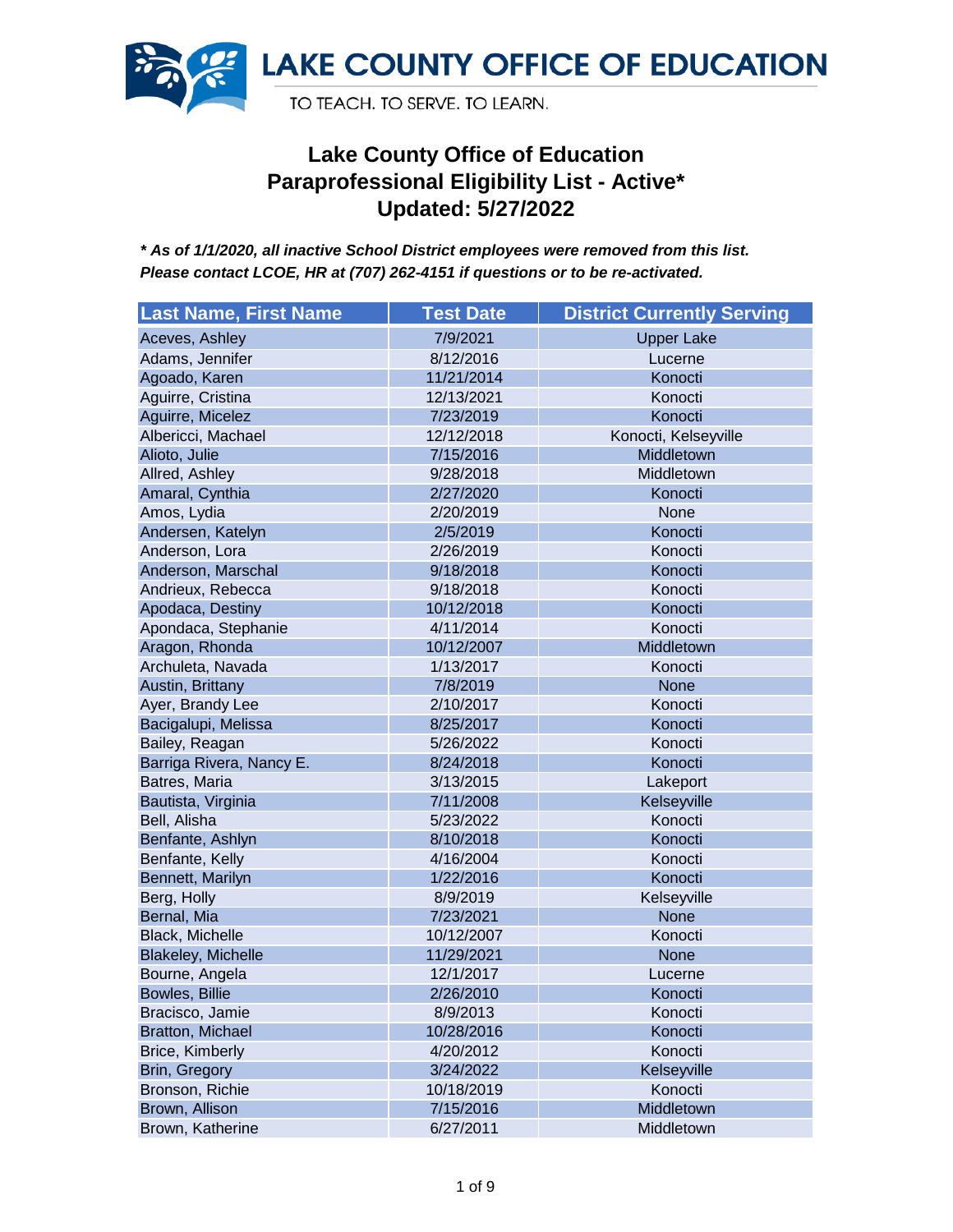

| <b>Last Name, First Name</b> | <b>Test Date</b> | <b>District Currently Serving</b> |
|------------------------------|------------------|-----------------------------------|
| Aceves, Ashley               | 7/9/2021         | <b>Upper Lake</b>                 |
| Adams, Jennifer              | 8/12/2016        | Lucerne                           |
| Agoado, Karen                | 11/21/2014       | Konocti                           |
| Aguirre, Cristina            | 12/13/2021       | Konocti                           |
| Aguirre, Micelez             | 7/23/2019        | Konocti                           |
| Albericci, Machael           | 12/12/2018       | Konocti, Kelseyville              |
| Alioto, Julie                | 7/15/2016        | Middletown                        |
| Allred, Ashley               | 9/28/2018        | Middletown                        |
| Amaral, Cynthia              | 2/27/2020        | Konocti                           |
| Amos, Lydia                  | 2/20/2019        | None                              |
| Andersen, Katelyn            | 2/5/2019         | Konocti                           |
| Anderson, Lora               | 2/26/2019        | Konocti                           |
| Anderson, Marschal           | 9/18/2018        | Konocti                           |
| Andrieux, Rebecca            | 9/18/2018        | Konocti                           |
| Apodaca, Destiny             | 10/12/2018       | Konocti                           |
| Apondaca, Stephanie          | 4/11/2014        | Konocti                           |
| Aragon, Rhonda               | 10/12/2007       | Middletown                        |
| Archuleta, Navada            | 1/13/2017        | Konocti                           |
| Austin, Brittany             | 7/8/2019         | None                              |
| Ayer, Brandy Lee             | 2/10/2017        | Konocti                           |
| Bacigalupi, Melissa          | 8/25/2017        | Konocti                           |
| Bailey, Reagan               | 5/26/2022        | Konocti                           |
| Barriga Rivera, Nancy E.     | 8/24/2018        | Konocti                           |
| Batres, Maria                | 3/13/2015        | Lakeport                          |
| Bautista, Virginia           | 7/11/2008        | Kelseyville                       |
| Bell, Alisha                 | 5/23/2022        | Konocti                           |
| Benfante, Ashlyn             | 8/10/2018        | Konocti                           |
| Benfante, Kelly              | 4/16/2004        | Konocti                           |
| Bennett, Marilyn             | 1/22/2016        | Konocti                           |
| Berg, Holly                  | 8/9/2019         | Kelseyville                       |
| Bernal, Mia                  | 7/23/2021        | None                              |
| Black, Michelle              | 10/12/2007       | Konocti                           |
| <b>Blakeley, Michelle</b>    | 11/29/2021       | None                              |
| Bourne, Angela               | 12/1/2017        | Lucerne                           |
| Bowles, Billie               | 2/26/2010        | Konocti                           |
| Bracisco, Jamie              | 8/9/2013         | Konocti                           |
| Bratton, Michael             | 10/28/2016       | Konocti                           |
| Brice, Kimberly              | 4/20/2012        | Konocti                           |
| Brin, Gregory                | 3/24/2022        | Kelseyville                       |
| Bronson, Richie              | 10/18/2019       | Konocti                           |
| Brown, Allison               | 7/15/2016        | Middletown                        |
| Brown, Katherine             | 6/27/2011        | Middletown                        |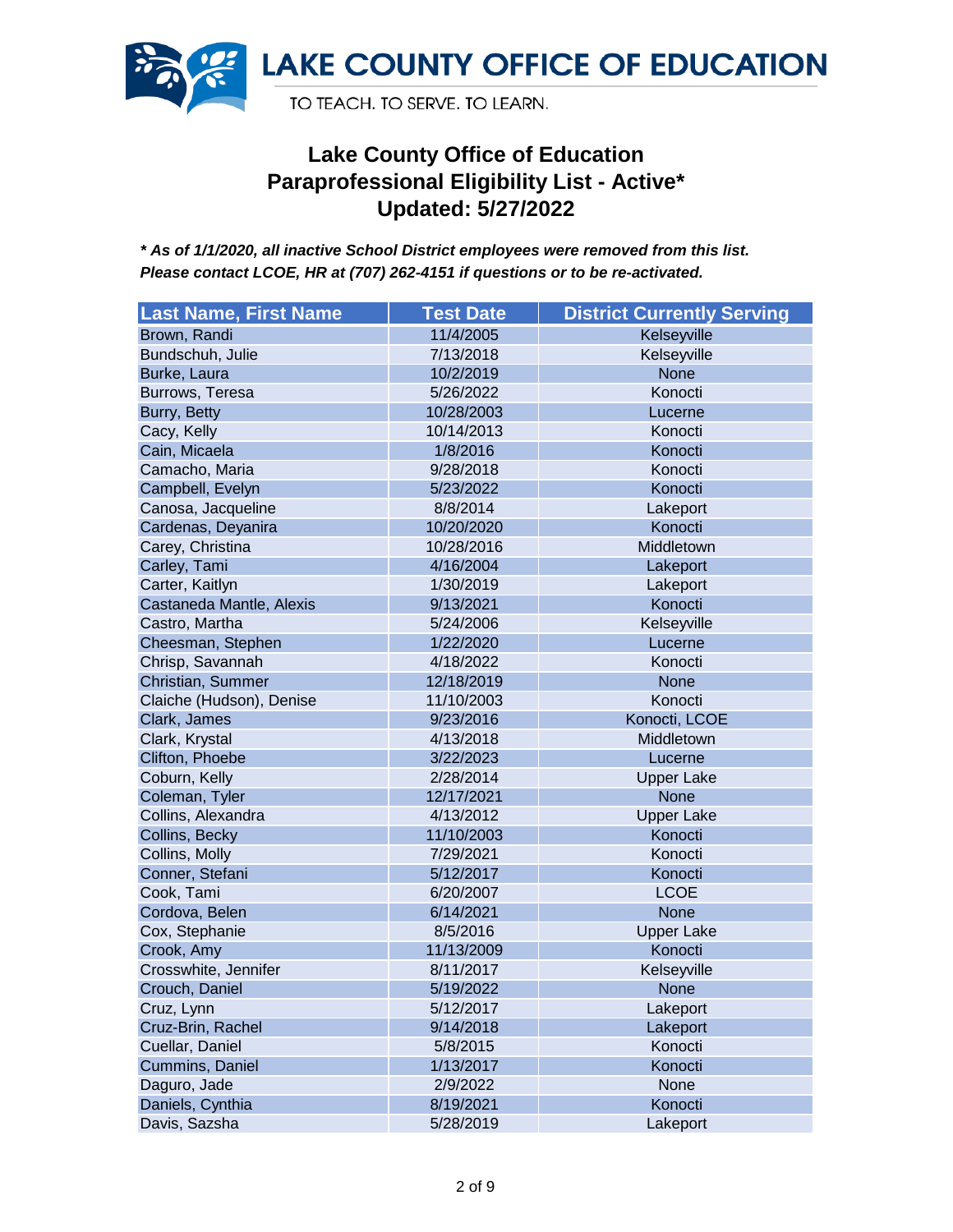

| <b>Last Name, First Name</b> | <b>Test Date</b> | <b>District Currently Serving</b> |
|------------------------------|------------------|-----------------------------------|
| Brown, Randi                 | 11/4/2005        | Kelseyville                       |
| Bundschuh, Julie             | 7/13/2018        | Kelseyville                       |
| Burke, Laura                 | 10/2/2019        | <b>None</b>                       |
| Burrows, Teresa              | 5/26/2022        | Konocti                           |
| Burry, Betty                 | 10/28/2003       | Lucerne                           |
| Cacy, Kelly                  | 10/14/2013       | Konocti                           |
| Cain, Micaela                | 1/8/2016         | Konocti                           |
| Camacho, Maria               | 9/28/2018        | Konocti                           |
| Campbell, Evelyn             | 5/23/2022        | Konocti                           |
| Canosa, Jacqueline           | 8/8/2014         | Lakeport                          |
| Cardenas, Deyanira           | 10/20/2020       | Konocti                           |
| Carey, Christina             | 10/28/2016       | Middletown                        |
| Carley, Tami                 | 4/16/2004        | Lakeport                          |
| Carter, Kaitlyn              | 1/30/2019        | Lakeport                          |
| Castaneda Mantle, Alexis     | 9/13/2021        | Konocti                           |
| Castro, Martha               | 5/24/2006        | Kelseyville                       |
| Cheesman, Stephen            | 1/22/2020        | Lucerne                           |
| Chrisp, Savannah             | 4/18/2022        | Konocti                           |
| Christian, Summer            | 12/18/2019       | <b>None</b>                       |
| Claiche (Hudson), Denise     | 11/10/2003       | Konocti                           |
| Clark, James                 | 9/23/2016        | Konocti, LCOE                     |
| Clark, Krystal               | 4/13/2018        | Middletown                        |
| Clifton, Phoebe              | 3/22/2023        | Lucerne                           |
| Coburn, Kelly                | 2/28/2014        | <b>Upper Lake</b>                 |
| Coleman, Tyler               | 12/17/2021       | <b>None</b>                       |
| Collins, Alexandra           | 4/13/2012        | <b>Upper Lake</b>                 |
| Collins, Becky               | 11/10/2003       | Konocti                           |
| Collins, Molly               | 7/29/2021        | Konocti                           |
| Conner, Stefani              | 5/12/2017        | Konocti                           |
| Cook, Tami                   | 6/20/2007        | <b>LCOE</b>                       |
| Cordova, Belen               | 6/14/2021        | <b>None</b>                       |
| Cox, Stephanie               | 8/5/2016         | <b>Upper Lake</b>                 |
| Crook, Amy                   | 11/13/2009       | Konocti                           |
| Crosswhite, Jennifer         | 8/11/2017        | Kelseyville                       |
| Crouch, Daniel               | 5/19/2022        | <b>None</b>                       |
| Cruz, Lynn                   | 5/12/2017        | Lakeport                          |
| Cruz-Brin, Rachel            | 9/14/2018        | Lakeport                          |
| Cuellar, Daniel              | 5/8/2015         | Konocti                           |
| Cummins, Daniel              | 1/13/2017        | Konocti                           |
| Daguro, Jade                 | 2/9/2022         | None                              |
| Daniels, Cynthia             | 8/19/2021        | Konocti                           |
| Davis, Sazsha                | 5/28/2019        | Lakeport                          |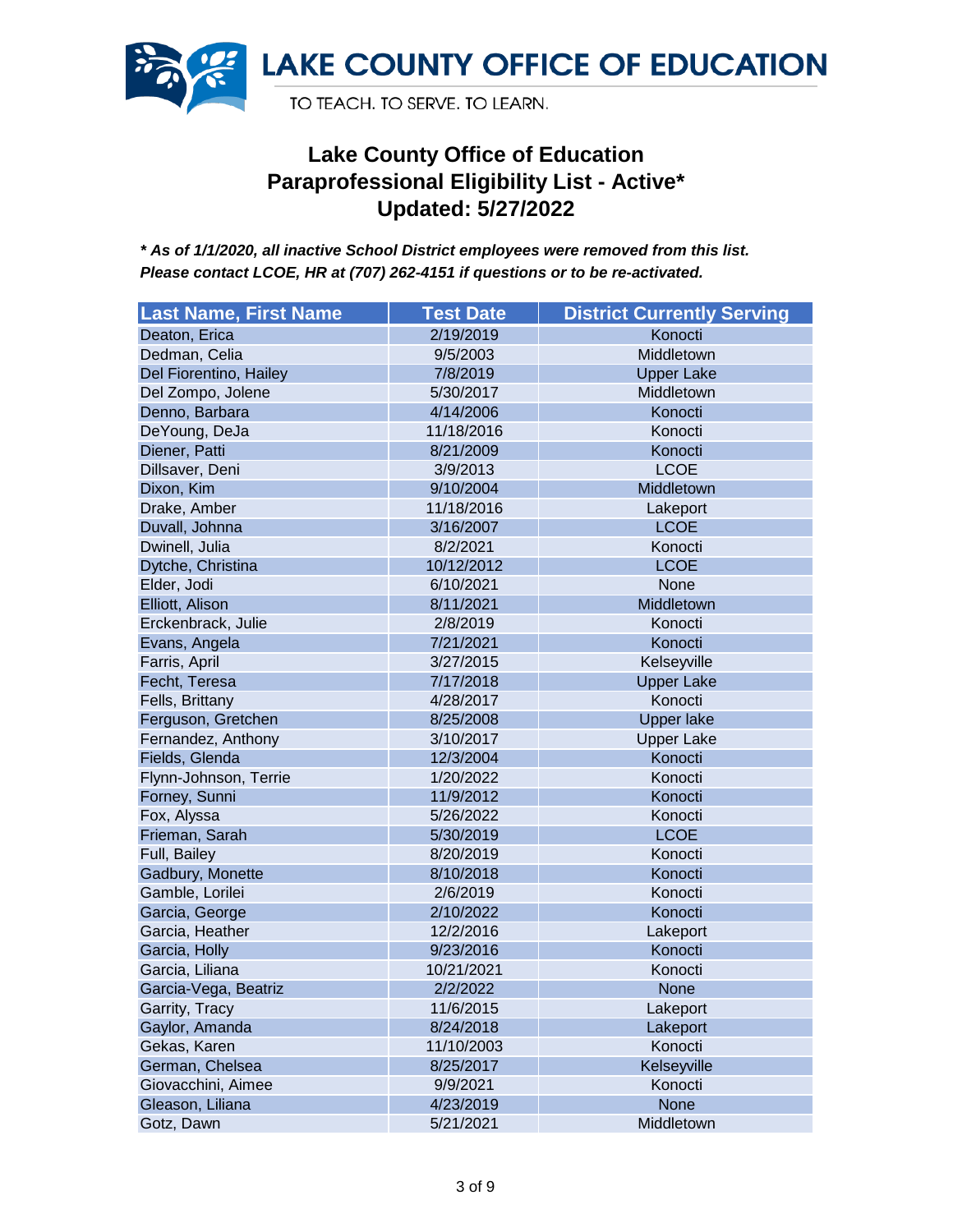

| <b>Last Name, First Name</b> | <b>Test Date</b> | <b>District Currently Serving</b> |
|------------------------------|------------------|-----------------------------------|
| Deaton, Erica                | 2/19/2019        | Konocti                           |
| Dedman, Celia                | 9/5/2003         | Middletown                        |
| Del Fiorentino, Hailey       | 7/8/2019         | <b>Upper Lake</b>                 |
| Del Zompo, Jolene            | 5/30/2017        | Middletown                        |
| Denno, Barbara               | 4/14/2006        | Konocti                           |
| DeYoung, DeJa                | 11/18/2016       | Konocti                           |
| Diener, Patti                | 8/21/2009        | Konocti                           |
| Dillsaver, Deni              | 3/9/2013         | <b>LCOE</b>                       |
| Dixon, Kim                   | 9/10/2004        | Middletown                        |
| Drake, Amber                 | 11/18/2016       | Lakeport                          |
| Duvall, Johnna               | 3/16/2007        | <b>LCOE</b>                       |
| Dwinell, Julia               | 8/2/2021         | Konocti                           |
| Dytche, Christina            | 10/12/2012       | <b>LCOE</b>                       |
| Elder, Jodi                  | 6/10/2021        | None                              |
| Elliott, Alison              | 8/11/2021        | Middletown                        |
| Erckenbrack, Julie           | 2/8/2019         | Konocti                           |
| Evans, Angela                | 7/21/2021        | Konocti                           |
| Farris, April                | 3/27/2015        | Kelseyville                       |
| Fecht, Teresa                | 7/17/2018        | <b>Upper Lake</b>                 |
| Fells, Brittany              | 4/28/2017        | Konocti                           |
| Ferguson, Gretchen           | 8/25/2008        | <b>Upper lake</b>                 |
| Fernandez, Anthony           | 3/10/2017        | <b>Upper Lake</b>                 |
| Fields, Glenda               | 12/3/2004        | Konocti                           |
| Flynn-Johnson, Terrie        | 1/20/2022        | Konocti                           |
| Forney, Sunni                | 11/9/2012        | Konocti                           |
| Fox, Alyssa                  | 5/26/2022        | Konocti                           |
| Frieman, Sarah               | 5/30/2019        | <b>LCOE</b>                       |
| Full, Bailey                 | 8/20/2019        | Konocti                           |
| Gadbury, Monette             | 8/10/2018        | Konocti                           |
| Gamble, Lorilei              | 2/6/2019         | Konocti                           |
| Garcia, George               | 2/10/2022        | Konocti                           |
| Garcia, Heather              | 12/2/2016        | Lakeport                          |
| Garcia, Holly                | 9/23/2016        | Konocti                           |
| Garcia, Liliana              | 10/21/2021       | Konocti                           |
| Garcia-Vega, Beatriz         | 2/2/2022         | <b>None</b>                       |
| Garrity, Tracy               | 11/6/2015        | Lakeport                          |
| Gaylor, Amanda               | 8/24/2018        | Lakeport                          |
| Gekas, Karen                 | 11/10/2003       | Konocti                           |
| German, Chelsea              | 8/25/2017        | Kelseyville                       |
| Giovacchini, Aimee           | 9/9/2021         | Konocti                           |
| Gleason, Liliana             | 4/23/2019        | <b>None</b>                       |
| Gotz, Dawn                   | 5/21/2021        | Middletown                        |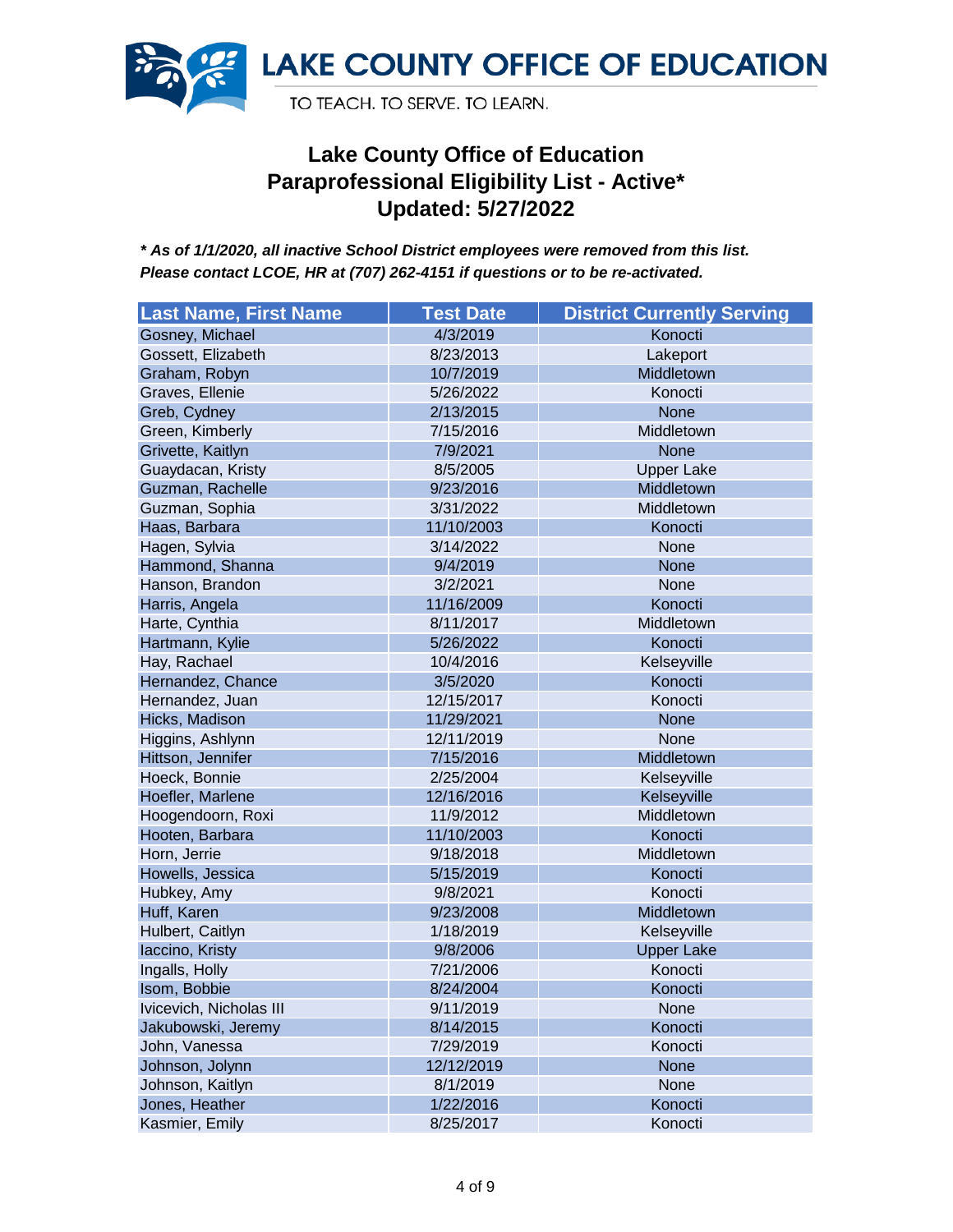

| <b>Last Name, First Name</b> | <b>Test Date</b> | <b>District Currently Serving</b> |
|------------------------------|------------------|-----------------------------------|
| Gosney, Michael              | 4/3/2019         | Konocti                           |
| Gossett, Elizabeth           | 8/23/2013        | Lakeport                          |
| Graham, Robyn                | 10/7/2019        | Middletown                        |
| Graves, Ellenie              | 5/26/2022        | Konocti                           |
| Greb, Cydney                 | 2/13/2015        | <b>None</b>                       |
| Green, Kimberly              | 7/15/2016        | Middletown                        |
| Grivette, Kaitlyn            | 7/9/2021         | <b>None</b>                       |
| Guaydacan, Kristy            | 8/5/2005         | <b>Upper Lake</b>                 |
| Guzman, Rachelle             | 9/23/2016        | Middletown                        |
| Guzman, Sophia               | 3/31/2022        | Middletown                        |
| Haas, Barbara                | 11/10/2003       | Konocti                           |
| Hagen, Sylvia                | 3/14/2022        | None                              |
| Hammond, Shanna              | 9/4/2019         | <b>None</b>                       |
| Hanson, Brandon              | 3/2/2021         | None                              |
| Harris, Angela               | 11/16/2009       | Konocti                           |
| Harte, Cynthia               | 8/11/2017        | Middletown                        |
| Hartmann, Kylie              | 5/26/2022        | Konocti                           |
| Hay, Rachael                 | 10/4/2016        | Kelseyville                       |
| Hernandez, Chance            | 3/5/2020         | Konocti                           |
| Hernandez, Juan              | 12/15/2017       | Konocti                           |
| Hicks, Madison               | 11/29/2021       | <b>None</b>                       |
| Higgins, Ashlynn             | 12/11/2019       | None                              |
| Hittson, Jennifer            | 7/15/2016        | Middletown                        |
| Hoeck, Bonnie                | 2/25/2004        | Kelseyville                       |
| Hoefler, Marlene             | 12/16/2016       | Kelseyville                       |
| Hoogendoorn, Roxi            | 11/9/2012        | Middletown                        |
| Hooten, Barbara              | 11/10/2003       | Konocti                           |
| Horn, Jerrie                 | 9/18/2018        | Middletown                        |
| Howells, Jessica             | 5/15/2019        | Konocti                           |
| Hubkey, Amy                  | 9/8/2021         | Konocti                           |
| Huff, Karen                  | 9/23/2008        | Middletown                        |
| Hulbert, Caitlyn             | 1/18/2019        | Kelseyville                       |
| laccino, Kristy              | 9/8/2006         | <b>Upper Lake</b>                 |
| Ingalls, Holly               | 7/21/2006        | Konocti                           |
| Isom, Bobbie                 | 8/24/2004        | Konocti                           |
| Ivicevich, Nicholas III      | 9/11/2019        | None                              |
| Jakubowski, Jeremy           | 8/14/2015        | Konocti                           |
| John, Vanessa                | 7/29/2019        | Konocti                           |
| Johnson, Jolynn              | 12/12/2019       | <b>None</b>                       |
| Johnson, Kaitlyn             | 8/1/2019         | None                              |
| Jones, Heather               | 1/22/2016        | Konocti                           |
| Kasmier, Emily               | 8/25/2017        | Konocti                           |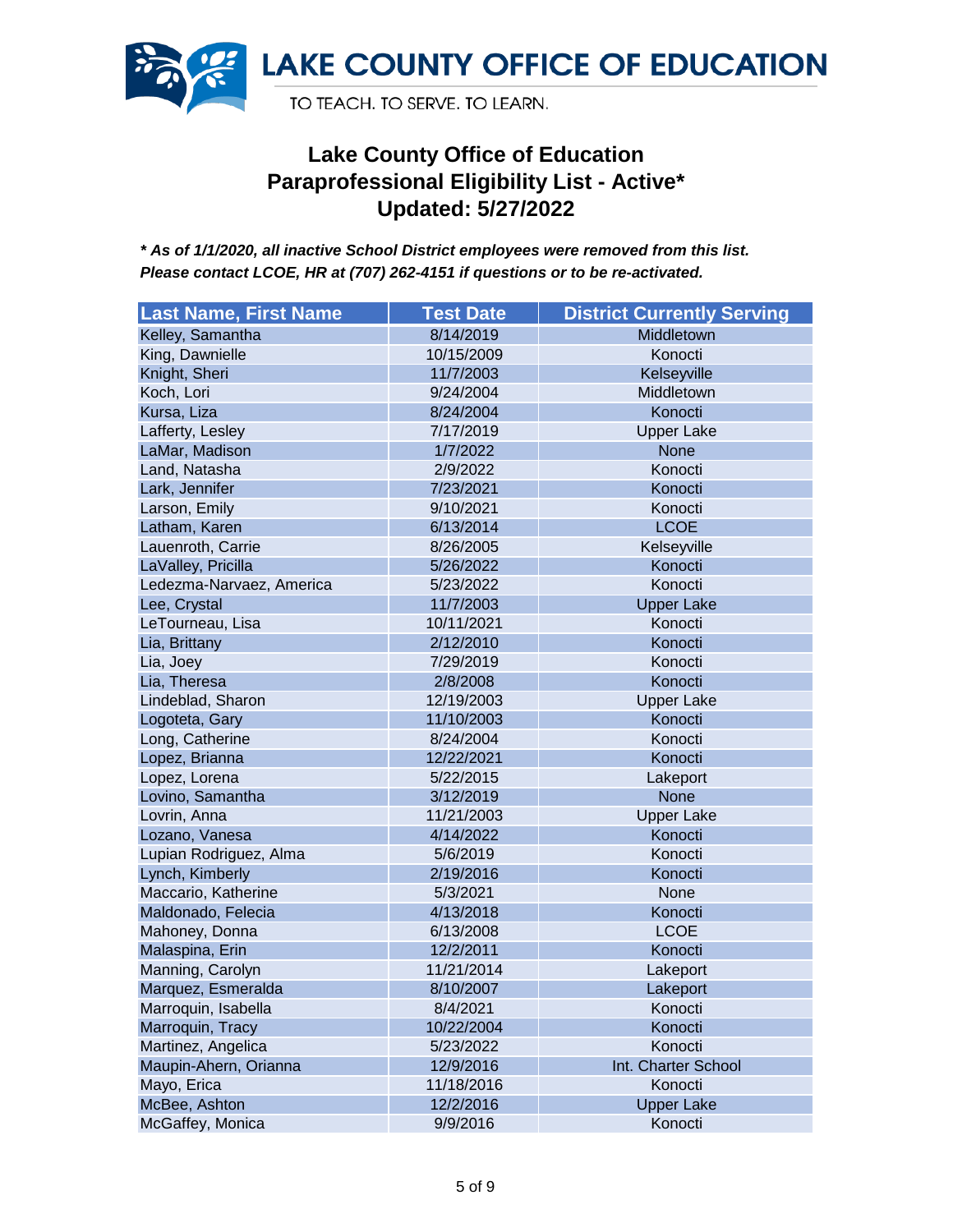

| <b>Last Name, First Name</b> | <b>Test Date</b> | <b>District Currently Serving</b> |
|------------------------------|------------------|-----------------------------------|
| Kelley, Samantha             | 8/14/2019        | Middletown                        |
| King, Dawnielle              | 10/15/2009       | Konocti                           |
| Knight, Sheri                | 11/7/2003        | Kelseyville                       |
| Koch, Lori                   | 9/24/2004        | Middletown                        |
| Kursa, Liza                  | 8/24/2004        | Konocti                           |
| Lafferty, Lesley             | 7/17/2019        | <b>Upper Lake</b>                 |
| LaMar, Madison               | 1/7/2022         | None                              |
| Land, Natasha                | 2/9/2022         | Konocti                           |
| Lark, Jennifer               | 7/23/2021        | Konocti                           |
| Larson, Emily                | 9/10/2021        | Konocti                           |
| Latham, Karen                | 6/13/2014        | <b>LCOE</b>                       |
| Lauenroth, Carrie            | 8/26/2005        | Kelseyville                       |
| LaValley, Pricilla           | 5/26/2022        | Konocti                           |
| Ledezma-Narvaez, America     | 5/23/2022        | Konocti                           |
| Lee, Crystal                 | 11/7/2003        | <b>Upper Lake</b>                 |
| LeTourneau, Lisa             | 10/11/2021       | Konocti                           |
| Lia, Brittany                | 2/12/2010        | Konocti                           |
| Lia, Joey                    | 7/29/2019        | Konocti                           |
| Lia, Theresa                 | 2/8/2008         | Konocti                           |
| Lindeblad, Sharon            | 12/19/2003       | <b>Upper Lake</b>                 |
| Logoteta, Gary               | 11/10/2003       | Konocti                           |
| Long, Catherine              | 8/24/2004        | Konocti                           |
| Lopez, Brianna               | 12/22/2021       | Konocti                           |
| Lopez, Lorena                | 5/22/2015        | Lakeport                          |
| Lovino, Samantha             | 3/12/2019        | None                              |
| Lovrin, Anna                 | 11/21/2003       | <b>Upper Lake</b>                 |
| Lozano, Vanesa               | 4/14/2022        | Konocti                           |
| Lupian Rodriguez, Alma       | 5/6/2019         | Konocti                           |
| Lynch, Kimberly              | 2/19/2016        | Konocti                           |
| Maccario, Katherine          | 5/3/2021         | None                              |
| Maldonado, Felecia           | 4/13/2018        | Konocti                           |
| Mahoney, Donna               | 6/13/2008        | <b>LCOE</b>                       |
| Malaspina, Erin              | 12/2/2011        | Konocti                           |
| Manning, Carolyn             | 11/21/2014       | Lakeport                          |
| Marquez, Esmeralda           | 8/10/2007        | Lakeport                          |
| Marroquin, Isabella          | 8/4/2021         | Konocti                           |
| Marroquin, Tracy             | 10/22/2004       | Konocti                           |
| Martinez, Angelica           | 5/23/2022        | Konocti                           |
| Maupin-Ahern, Orianna        | 12/9/2016        | Int. Charter School               |
| Mayo, Erica                  | 11/18/2016       | Konocti                           |
| McBee, Ashton                | 12/2/2016        | <b>Upper Lake</b>                 |
| McGaffey, Monica             | 9/9/2016         | Konocti                           |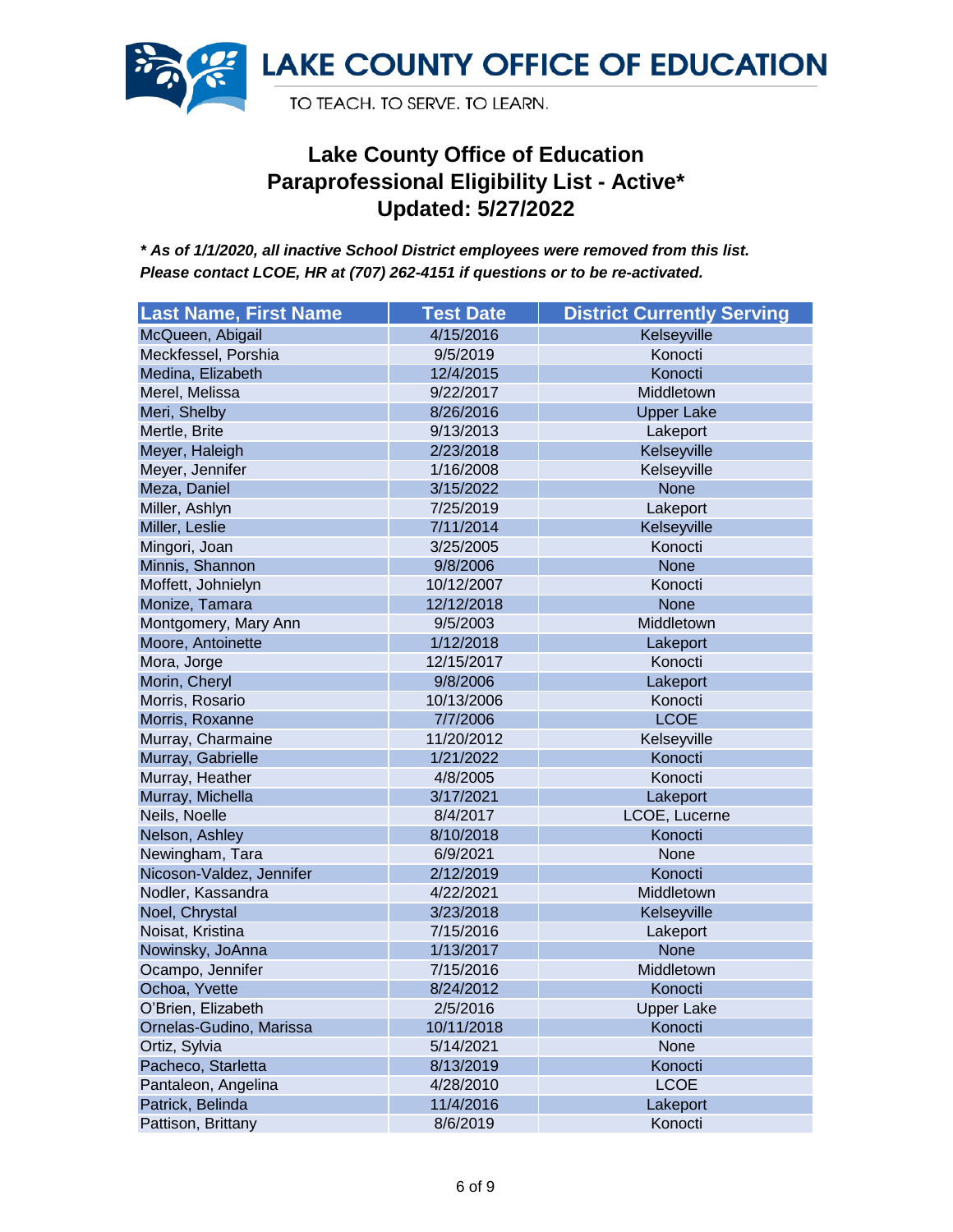

| <b>Last Name, First Name</b> | <b>Test Date</b> | <b>District Currently Serving</b> |
|------------------------------|------------------|-----------------------------------|
| McQueen, Abigail             | 4/15/2016        | Kelseyville                       |
| Meckfessel, Porshia          | 9/5/2019         | Konocti                           |
| Medina, Elizabeth            | 12/4/2015        | Konocti                           |
| Merel, Melissa               | 9/22/2017        | Middletown                        |
| Meri, Shelby                 | 8/26/2016        | <b>Upper Lake</b>                 |
| Mertle, Brite                | 9/13/2013        | Lakeport                          |
| Meyer, Haleigh               | 2/23/2018        | Kelseyville                       |
| Meyer, Jennifer              | 1/16/2008        | Kelseyville                       |
| Meza, Daniel                 | 3/15/2022        | <b>None</b>                       |
| Miller, Ashlyn               | 7/25/2019        | Lakeport                          |
| Miller, Leslie               | 7/11/2014        | Kelseyville                       |
| Mingori, Joan                | 3/25/2005        | Konocti                           |
| Minnis, Shannon              | 9/8/2006         | <b>None</b>                       |
| Moffett, Johnielyn           | 10/12/2007       | Konocti                           |
| Monize, Tamara               | 12/12/2018       | <b>None</b>                       |
| Montgomery, Mary Ann         | 9/5/2003         | Middletown                        |
| Moore, Antoinette            | 1/12/2018        | Lakeport                          |
| Mora, Jorge                  | 12/15/2017       | Konocti                           |
| Morin, Cheryl                | 9/8/2006         | Lakeport                          |
| Morris, Rosario              | 10/13/2006       | Konocti                           |
| Morris, Roxanne              | 7/7/2006         | <b>LCOE</b>                       |
| Murray, Charmaine            | 11/20/2012       | Kelseyville                       |
| Murray, Gabrielle            | 1/21/2022        | Konocti                           |
| Murray, Heather              | 4/8/2005         | Konocti                           |
| Murray, Michella             | 3/17/2021        | Lakeport                          |
| Neils, Noelle                | 8/4/2017         | LCOE, Lucerne                     |
| Nelson, Ashley               | 8/10/2018        | Konocti                           |
| Newingham, Tara              | 6/9/2021         | None                              |
| Nicoson-Valdez, Jennifer     | 2/12/2019        | Konocti                           |
| Nodler, Kassandra            | 4/22/2021        | Middletown                        |
| Noel, Chrystal               | 3/23/2018        | Kelseyville                       |
| Noisat, Kristina             | 7/15/2016        | Lakeport                          |
| Nowinsky, JoAnna             | 1/13/2017        | <b>None</b>                       |
| Ocampo, Jennifer             | 7/15/2016        | Middletown                        |
| Ochoa, Yvette                | 8/24/2012        | Konocti                           |
| O'Brien, Elizabeth           | 2/5/2016         | <b>Upper Lake</b>                 |
| Ornelas-Gudino, Marissa      | 10/11/2018       | Konocti                           |
| Ortiz, Sylvia                | 5/14/2021        | None                              |
| Pacheco, Starletta           | 8/13/2019        | Konocti                           |
| Pantaleon, Angelina          | 4/28/2010        | <b>LCOE</b>                       |
| Patrick, Belinda             | 11/4/2016        | Lakeport                          |
| Pattison, Brittany           | 8/6/2019         | Konocti                           |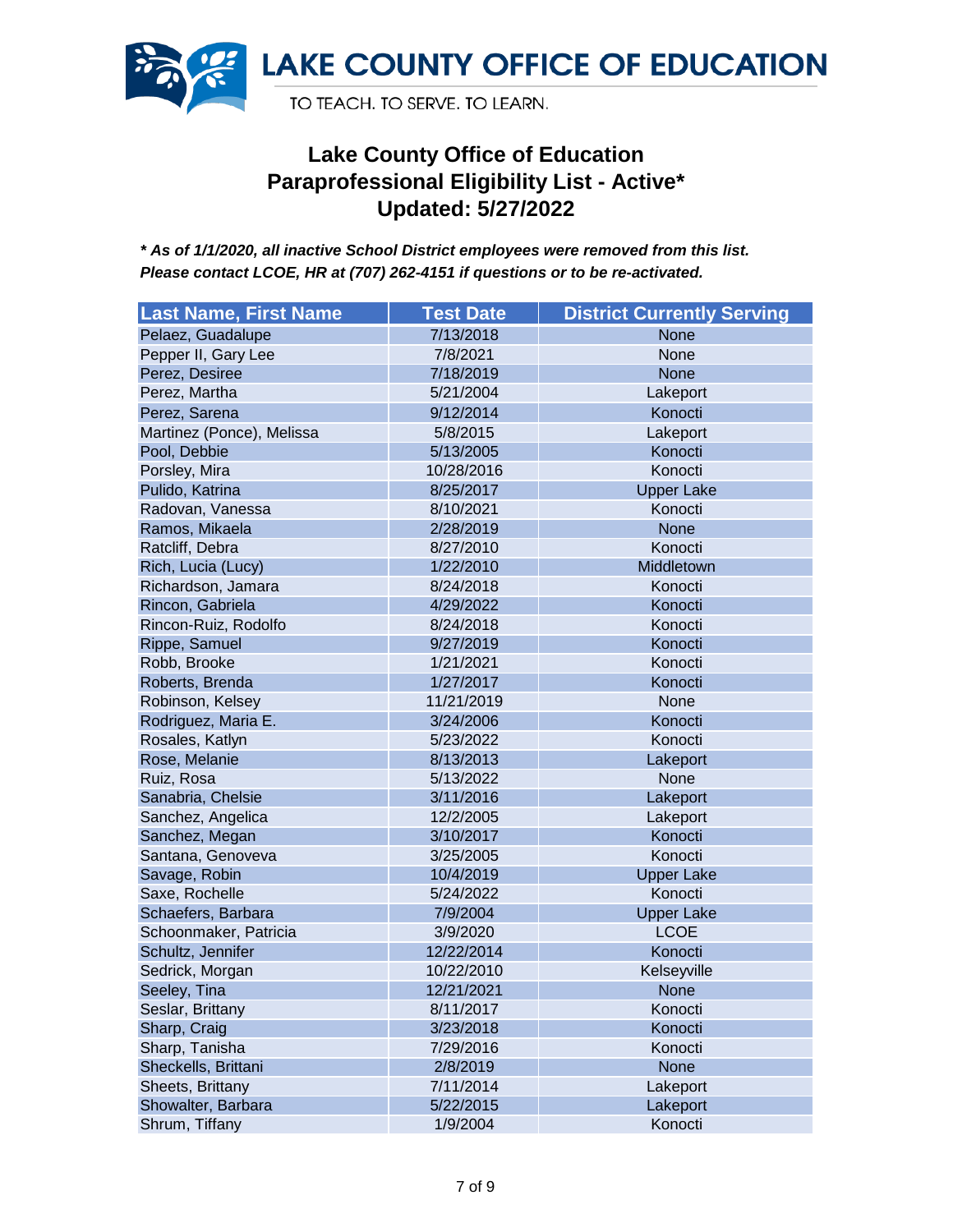

| <b>Last Name, First Name</b> | <b>Test Date</b> | <b>District Currently Serving</b> |
|------------------------------|------------------|-----------------------------------|
| Pelaez, Guadalupe            | 7/13/2018        | <b>None</b>                       |
| Pepper II, Gary Lee          | 7/8/2021         | None                              |
| Perez, Desiree               | 7/18/2019        | <b>None</b>                       |
| Perez, Martha                | 5/21/2004        | Lakeport                          |
| Perez, Sarena                | 9/12/2014        | Konocti                           |
| Martinez (Ponce), Melissa    | 5/8/2015         | Lakeport                          |
| Pool, Debbie                 | 5/13/2005        | Konocti                           |
| Porsley, Mira                | 10/28/2016       | Konocti                           |
| Pulido, Katrina              | 8/25/2017        | <b>Upper Lake</b>                 |
| Radovan, Vanessa             | 8/10/2021        | Konocti                           |
| Ramos, Mikaela               | 2/28/2019        | <b>None</b>                       |
| Ratcliff, Debra              | 8/27/2010        | Konocti                           |
| Rich, Lucia (Lucy)           | 1/22/2010        | Middletown                        |
| Richardson, Jamara           | 8/24/2018        | Konocti                           |
| Rincon, Gabriela             | 4/29/2022        | Konocti                           |
| Rincon-Ruiz, Rodolfo         | 8/24/2018        | Konocti                           |
| Rippe, Samuel                | 9/27/2019        | Konocti                           |
| Robb, Brooke                 | 1/21/2021        | Konocti                           |
| Roberts, Brenda              | 1/27/2017        | Konocti                           |
| Robinson, Kelsey             | 11/21/2019       | None                              |
| Rodriguez, Maria E.          | 3/24/2006        | Konocti                           |
| Rosales, Katlyn              | 5/23/2022        | Konocti                           |
| Rose, Melanie                | 8/13/2013        | Lakeport                          |
| Ruiz, Rosa                   | 5/13/2022        | None                              |
| Sanabria, Chelsie            | 3/11/2016        | Lakeport                          |
| Sanchez, Angelica            | 12/2/2005        | Lakeport                          |
| Sanchez, Megan               | 3/10/2017        | Konocti                           |
| Santana, Genoveva            | 3/25/2005        | Konocti                           |
| Savage, Robin                | 10/4/2019        | <b>Upper Lake</b>                 |
| Saxe, Rochelle               | 5/24/2022        | Konocti                           |
| Schaefers, Barbara           | 7/9/2004         | <b>Upper Lake</b>                 |
| Schoonmaker, Patricia        | 3/9/2020         | <b>LCOE</b>                       |
| Schultz, Jennifer            | 12/22/2014       | Konocti                           |
| Sedrick, Morgan              | 10/22/2010       | Kelseyville                       |
| Seeley, Tina                 | 12/21/2021       | <b>None</b>                       |
| Seslar, Brittany             | 8/11/2017        | Konocti                           |
| Sharp, Craig                 | 3/23/2018        | Konocti                           |
| Sharp, Tanisha               | 7/29/2016        | Konocti                           |
| Sheckells, Brittani          | 2/8/2019         | None                              |
| Sheets, Brittany             | 7/11/2014        | Lakeport                          |
| Showalter, Barbara           | 5/22/2015        | Lakeport                          |
| Shrum, Tiffany               | 1/9/2004         | Konocti                           |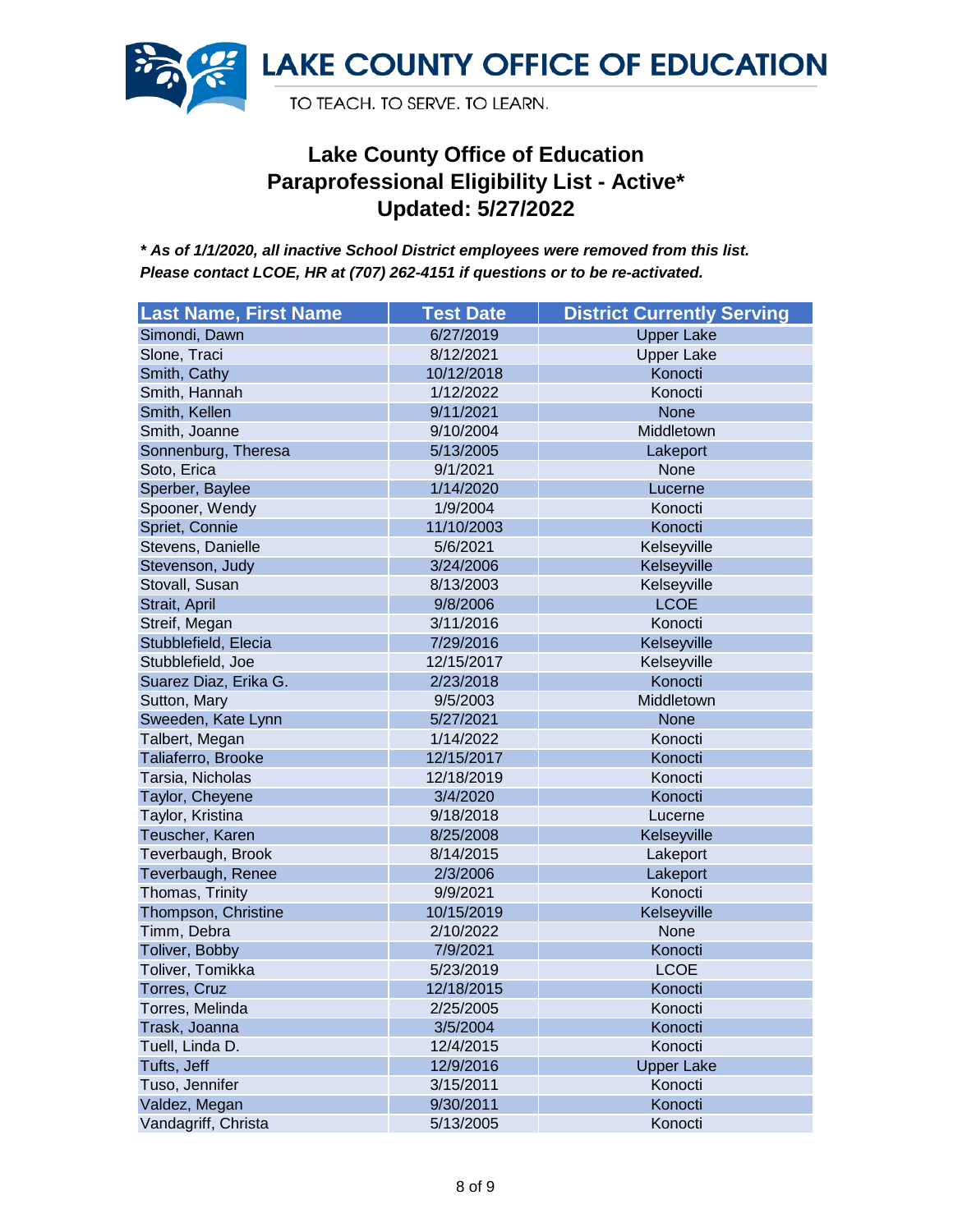

| <b>Last Name, First Name</b> | <b>Test Date</b> | <b>District Currently Serving</b> |
|------------------------------|------------------|-----------------------------------|
| Simondi, Dawn                | 6/27/2019        | <b>Upper Lake</b>                 |
| Slone, Traci                 | 8/12/2021        | <b>Upper Lake</b>                 |
| Smith, Cathy                 | 10/12/2018       | Konocti                           |
| Smith, Hannah                | 1/12/2022        | Konocti                           |
| Smith, Kellen                | 9/11/2021        | <b>None</b>                       |
| Smith, Joanne                | 9/10/2004        | Middletown                        |
| Sonnenburg, Theresa          | 5/13/2005        | Lakeport                          |
| Soto, Erica                  | 9/1/2021         | None                              |
| Sperber, Baylee              | 1/14/2020        | Lucerne                           |
| Spooner, Wendy               | 1/9/2004         | Konocti                           |
| Spriet, Connie               | 11/10/2003       | Konocti                           |
| Stevens, Danielle            | 5/6/2021         | Kelseyville                       |
| Stevenson, Judy              | 3/24/2006        | Kelseyville                       |
| Stovall, Susan               | 8/13/2003        | Kelseyville                       |
| Strait, April                | 9/8/2006         | <b>LCOE</b>                       |
| Streif, Megan                | 3/11/2016        | Konocti                           |
| Stubblefield, Elecia         | 7/29/2016        | Kelseyville                       |
| Stubblefield, Joe            | 12/15/2017       | Kelseyville                       |
| Suarez Diaz, Erika G.        | 2/23/2018        | Konocti                           |
| Sutton, Mary                 | 9/5/2003         | Middletown                        |
| Sweeden, Kate Lynn           | 5/27/2021        | <b>None</b>                       |
| Talbert, Megan               | 1/14/2022        | Konocti                           |
| Taliaferro, Brooke           | 12/15/2017       | Konocti                           |
| Tarsia, Nicholas             | 12/18/2019       | Konocti                           |
| Taylor, Cheyene              | 3/4/2020         | Konocti                           |
| Taylor, Kristina             | 9/18/2018        | Lucerne                           |
| Teuscher, Karen              | 8/25/2008        | Kelseyville                       |
| Teverbaugh, Brook            | 8/14/2015        | Lakeport                          |
| Teverbaugh, Renee            | 2/3/2006         | Lakeport                          |
| Thomas, Trinity              | 9/9/2021         | Konocti                           |
| Thompson, Christine          | 10/15/2019       | Kelseyville                       |
| Timm, Debra                  | 2/10/2022        | None                              |
| Toliver, Bobby               | 7/9/2021         | Konocti                           |
| Toliver, Tomikka             | 5/23/2019        | <b>LCOE</b>                       |
| Torres, Cruz                 | 12/18/2015       | Konocti                           |
| Torres, Melinda              | 2/25/2005        | Konocti                           |
| Trask, Joanna                | 3/5/2004         | Konocti                           |
| Tuell, Linda D.              | 12/4/2015        | Konocti                           |
| Tufts, Jeff                  | 12/9/2016        | <b>Upper Lake</b>                 |
| Tuso, Jennifer               | 3/15/2011        | Konocti                           |
| Valdez, Megan                | 9/30/2011        | Konocti                           |
| Vandagriff, Christa          | 5/13/2005        | Konocti                           |